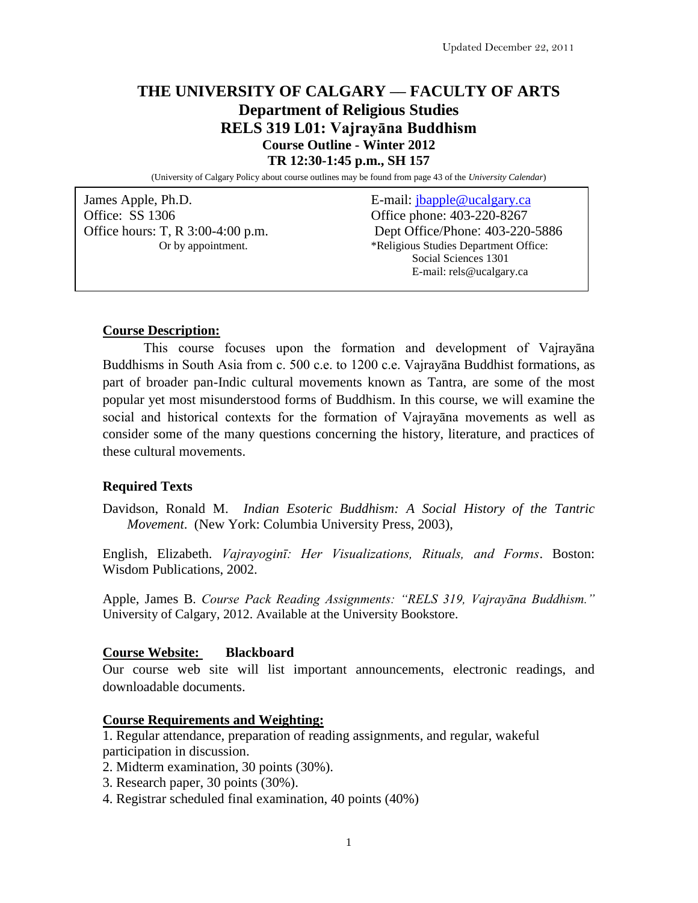# **THE UNIVERSITY OF CALGARY –– FACULTY OF ARTS Department of Religious Studies RELS 319 L01: Vajrayāna Buddhism Course Outline - Winter 2012 TR 12:30-1:45 p.m., SH 157**

(University of Calgary Policy about course outlines may be found from page 43 of the *University Calendar*)

James Apple, Ph.D. E-mail: [jbapple@ucalgary.ca](mailto:jbapple@ucalgary.ca) Office: SS 1306 Office phone: 403-220-8267 Office hours: T, R 3:00-4:00 p.m. Dept Office/Phone: 403-220-5886 Or by appointment. \*\*Religious Studies Department Office: Social Sciences 1301 E-mail: rels@ucalgary.ca

## **Course Description:**

This course focuses upon the formation and development of Vajrayāna Buddhisms in South Asia from c. 500 c.e. to 1200 c.e. Vajrayāna Buddhist formations, as part of broader pan-Indic cultural movements known as Tantra, are some of the most popular yet most misunderstood forms of Buddhism. In this course, we will examine the social and historical contexts for the formation of Vajrayāna movements as well as consider some of the many questions concerning the history, literature, and practices of these cultural movements.

## **Required Texts**

Davidson, Ronald M. *Indian Esoteric Buddhism: A Social History of the Tantric Movement*. (New York: Columbia University Press, 2003),

English, Elizabeth. *Vajrayoginī: Her Visualizations, Rituals, and Forms*. Boston: Wisdom Publications, 2002.

Apple, James B. *Course Pack Reading Assignments: "RELS 319, Vajrayāna Buddhism."*  University of Calgary, 2012. Available at the University Bookstore.

## **Course Website: Blackboard**

Our course web site will list important announcements, electronic readings, and downloadable documents.

### **Course Requirements and Weighting:**

1. Regular attendance, preparation of reading assignments, and regular, wakeful participation in discussion.

- 2. Midterm examination, 30 points (30%).
- 3. Research paper, 30 points (30%).
- 4. Registrar scheduled final examination, 40 points (40%)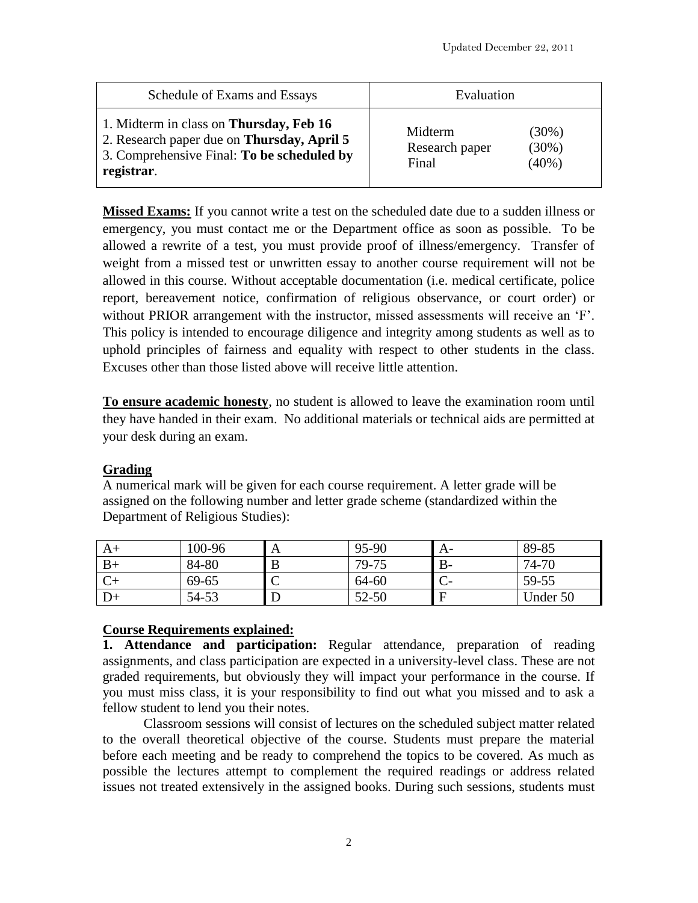| Schedule of Exams and Essays                                                                                                                              | Evaluation                         |                                  |
|-----------------------------------------------------------------------------------------------------------------------------------------------------------|------------------------------------|----------------------------------|
| 1. Midterm in class on <b>Thursday</b> , Feb 16<br>2. Research paper due on Thursday, April 5<br>3. Comprehensive Final: To be scheduled by<br>registrar. | Midterm<br>Research paper<br>Final | $(30\%)$<br>$(30\%)$<br>$(40\%)$ |

**Missed Exams:** If you cannot write a test on the scheduled date due to a sudden illness or emergency, you must contact me or the Department office as soon as possible. To be allowed a rewrite of a test, you must provide proof of illness/emergency. Transfer of weight from a missed test or unwritten essay to another course requirement will not be allowed in this course. Without acceptable documentation (i.e. medical certificate, police report, bereavement notice, confirmation of religious observance, or court order) or without PRIOR arrangement with the instructor, missed assessments will receive an 'F'. This policy is intended to encourage diligence and integrity among students as well as to uphold principles of fairness and equality with respect to other students in the class. Excuses other than those listed above will receive little attention.

**To ensure academic honesty**, no student is allowed to leave the examination room until they have handed in their exam. No additional materials or technical aids are permitted at your desk during an exam.

# **Grading**

A numerical mark will be given for each course requirement. A letter grade will be assigned on the following number and letter grade scheme (standardized within the Department of Religious Studies):

| A+   | 100-96 | A               | 95-90     | A-   | 89-85    |
|------|--------|-----------------|-----------|------|----------|
| $B+$ | 84-80  | B               | 79-75     | $B-$ | 74-70    |
|      | 69-65  | $\sqrt{ }$<br>◡ | 64-60     |      | 59-55    |
| D+   | 54-53  | L               | $52 - 50$ | E    | Under 50 |

# **Course Requirements explained:**

**1. Attendance and participation:** Regular attendance, preparation of reading assignments, and class participation are expected in a university-level class. These are not graded requirements, but obviously they will impact your performance in the course. If you must miss class, it is your responsibility to find out what you missed and to ask a fellow student to lend you their notes.

Classroom sessions will consist of lectures on the scheduled subject matter related to the overall theoretical objective of the course. Students must prepare the material before each meeting and be ready to comprehend the topics to be covered. As much as possible the lectures attempt to complement the required readings or address related issues not treated extensively in the assigned books. During such sessions, students must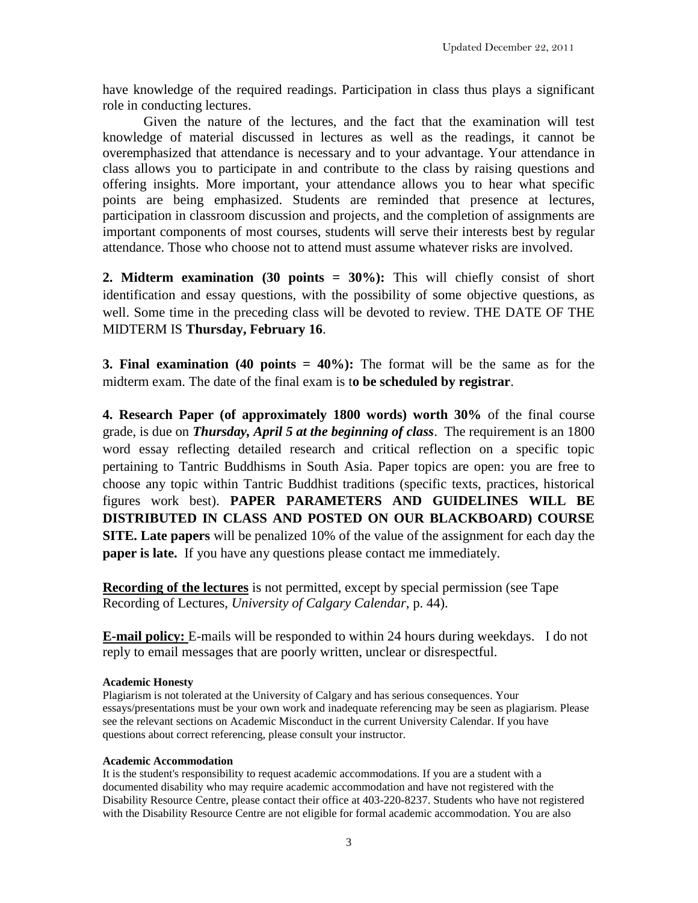have knowledge of the required readings. Participation in class thus plays a significant role in conducting lectures.

Given the nature of the lectures, and the fact that the examination will test knowledge of material discussed in lectures as well as the readings, it cannot be overemphasized that attendance is necessary and to your advantage. Your attendance in class allows you to participate in and contribute to the class by raising questions and offering insights. More important, your attendance allows you to hear what specific points are being emphasized. Students are reminded that presence at lectures, participation in classroom discussion and projects, and the completion of assignments are important components of most courses, students will serve their interests best by regular attendance. Those who choose not to attend must assume whatever risks are involved.

**2. Midterm examination (30 points = 30%):** This will chiefly consist of short identification and essay questions, with the possibility of some objective questions, as well. Some time in the preceding class will be devoted to review. THE DATE OF THE MIDTERM IS **Thursday, February 16**.

**3. Final examination (40 points = 40%):** The format will be the same as for the midterm exam. The date of the final exam is t**o be scheduled by registrar**.

**4. Research Paper (of approximately 1800 words) worth 30%** of the final course grade, is due on *Thursday, April 5 at the beginning of class*. The requirement is an 1800 word essay reflecting detailed research and critical reflection on a specific topic pertaining to Tantric Buddhisms in South Asia. Paper topics are open: you are free to choose any topic within Tantric Buddhist traditions (specific texts, practices, historical figures work best). **PAPER PARAMETERS AND GUIDELINES WILL BE DISTRIBUTED IN CLASS AND POSTED ON OUR BLACKBOARD) COURSE SITE. Late papers** will be penalized 10% of the value of the assignment for each day the **paper is late.** If you have any questions please contact me immediately.

**Recording of the lectures** is not permitted, except by special permission (see Tape Recording of Lectures, *University of Calgary Calendar*, p. 44).

**E-mail policy:** E-mails will be responded to within 24 hours during weekdays. I do not reply to email messages that are poorly written, unclear or disrespectful.

## **Academic Honesty**

Plagiarism is not tolerated at the University of Calgary and has serious consequences. Your essays/presentations must be your own work and inadequate referencing may be seen as plagiarism. Please see the relevant sections on Academic Misconduct in the current University Calendar. If you have questions about correct referencing, please consult your instructor.

## **Academic Accommodation**

It is the student's responsibility to request academic accommodations. If you are a student with a documented disability who may require academic accommodation and have not registered with the Disability Resource Centre, please contact their office at 403-220-8237. Students who have not registered with the Disability Resource Centre are not eligible for formal academic accommodation. You are also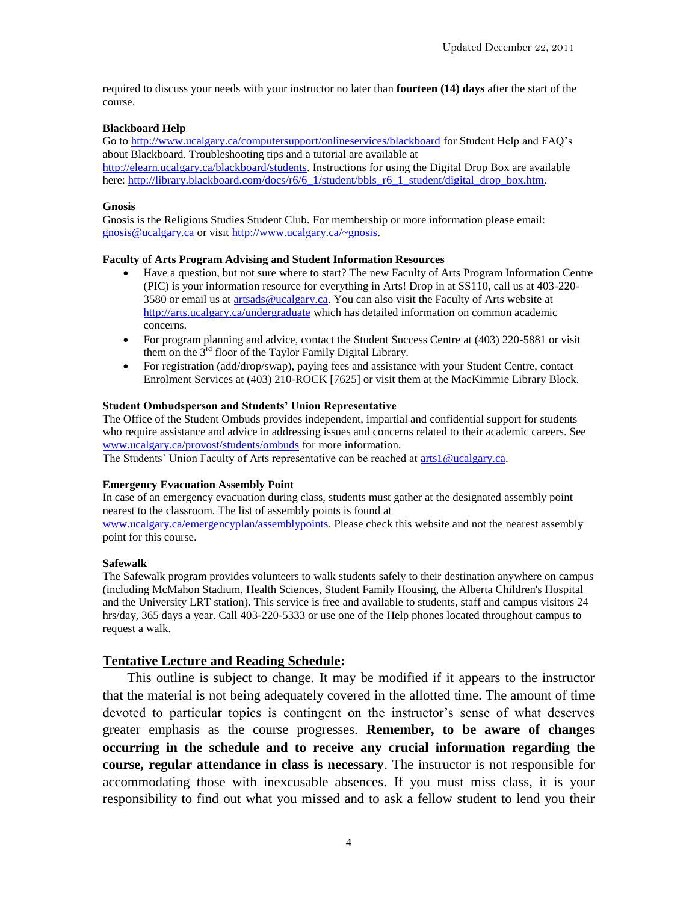required to discuss your needs with your instructor no later than **fourteen (14) days** after the start of the course.

### **Blackboard Help**

Go to<http://www.ucalgary.ca/computersupport/onlineservices/blackboard> for Student Help and FAQ's about Blackboard. Troubleshooting tips and a tutorial are available at

[http://elearn.ucalgary.ca/blackboard/students.](http://elearn.ucalgary.ca/blackboard/students) Instructions for using the Digital Drop Box are available here: [http://library.blackboard.com/docs/r6/6\\_1/student/bbls\\_r6\\_1\\_student/digital\\_drop\\_box.htm.](http://library.blackboard.com/docs/r6/6_1/student/bbls_r6_1_student/digital_drop_box.htm)

#### **Gnosis**

Gnosis is the Religious Studies Student Club. For membership or more information please email: gnosis@ucalgary.ca or visit [http://www.ucalgary.ca/~gnosis.](http://www.ucalgary.ca/~gnosis)

### **Faculty of Arts Program Advising and Student Information Resources**

- Have a question, but not sure where to start? The new Faculty of Arts Program Information Centre (PIC) is your information resource for everything in Arts! Drop in at SS110, call us at 403-220- 3580 or email us at [artsads@ucalgary.ca.](mailto:artsads@ucalgary.ca) You can also visit the Faculty of Arts website at <http://arts.ucalgary.ca/undergraduate> which has detailed information on common academic concerns.
- For program planning and advice, contact the Student Success Centre at (403) 220-5881 or visit them on the  $3<sup>rd</sup>$  floor of the Taylor Family Digital Library.
- For registration (add/drop/swap), paying fees and assistance with your Student Centre, contact Enrolment Services at (403) 210-ROCK [7625] or visit them at the MacKimmie Library Block.

#### **Student Ombudsperson and Students' Union Representative**

The Office of the Student Ombuds provides independent, impartial and confidential support for students who require assistance and advice in addressing issues and concerns related to their academic careers. See [www.ucalgary.ca/provost/students/ombuds](http://www.ucalgary.ca/provost/students/ombuds) for more information.

The Students' Union Faculty of Arts representative can be reached at [arts1@ucalgary.ca.](mailto:arts1@ucalgary.ca)

#### **Emergency Evacuation Assembly Point**

In case of an emergency evacuation during class, students must gather at the designated assembly point nearest to the classroom. The list of assembly points is found at

[www.ucalgary.ca/emergencyplan/assemblypoints.](http://www.ucalgary.ca/emergencyplan/assemblypoints) Please check this website and not the nearest assembly point for this course.

#### **Safewalk**

The Safewalk program provides volunteers to walk students safely to their destination anywhere on campus (including McMahon Stadium, Health Sciences, Student Family Housing, the Alberta Children's Hospital and the University LRT station). This service is free and available to students, staff and campus visitors 24 hrs/day, 365 days a year. Call 403-220-5333 or use one of the Help phones located throughout campus to request a walk.

### **Tentative Lecture and Reading Schedule:**

This outline is subject to change. It may be modified if it appears to the instructor that the material is not being adequately covered in the allotted time. The amount of time devoted to particular topics is contingent on the instructor's sense of what deserves greater emphasis as the course progresses. **Remember, to be aware of changes occurring in the schedule and to receive any crucial information regarding the course, regular attendance in class is necessary**. The instructor is not responsible for accommodating those with inexcusable absences. If you must miss class, it is your responsibility to find out what you missed and to ask a fellow student to lend you their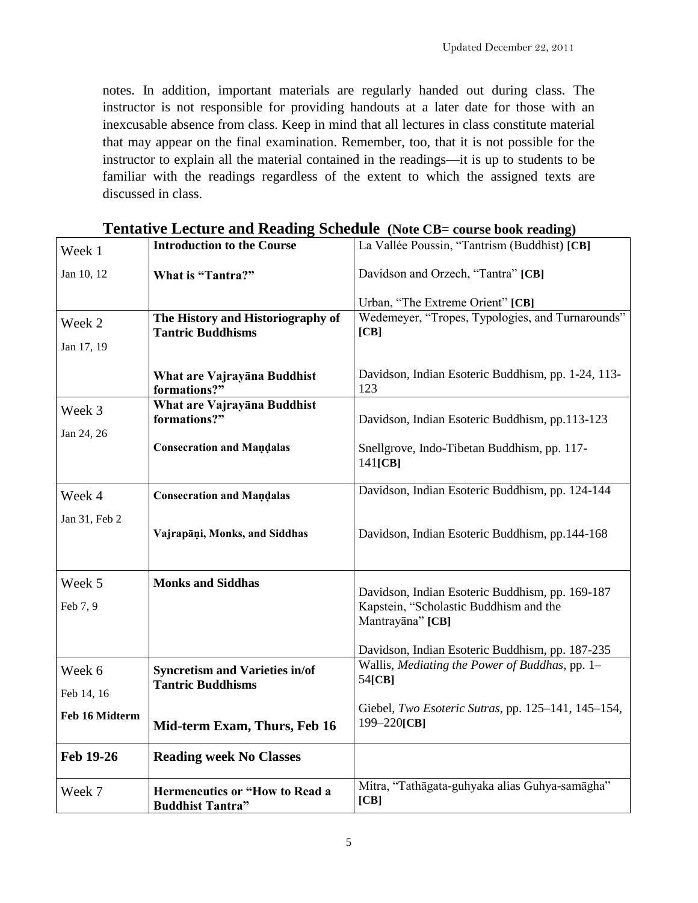notes. In addition, important materials are regularly handed out during class. The instructor is not responsible for providing handouts at a later date for those with an inexcusable absence from class. Keep in mind that all lectures in class constitute material that may appear on the final examination. Remember, too, that it is not possible for the instructor to explain all the material contained in the readings—it is up to students to be familiar with the readings regardless of the extent to which the assigned texts are discussed in class.

| Week 1             | <b>Introduction to the Course</b>                                 | La Vallée Poussin, "Tantrism (Buddhist) [CB]                                                                  |
|--------------------|-------------------------------------------------------------------|---------------------------------------------------------------------------------------------------------------|
| Jan 10, 12         | What is "Tantra?"                                                 | Davidson and Orzech, "Tantra" [CB]                                                                            |
|                    |                                                                   | Urban, "The Extreme Orient" [CB]                                                                              |
| Week 2             | The History and Historiography of<br><b>Tantric Buddhisms</b>     | Wedemeyer, "Tropes, Typologies, and Turnarounds"<br>[CB]                                                      |
| Jan 17, 19         |                                                                   |                                                                                                               |
|                    | What are Vajrayana Buddhist<br>formations?"                       | Davidson, Indian Esoteric Buddhism, pp. 1-24, 113-<br>123                                                     |
| Week 3             | What are Vajrayana Buddhist<br>formations?"                       | Davidson, Indian Esoteric Buddhism, pp.113-123                                                                |
| Jan 24, 26         | <b>Consecration and Mandalas</b>                                  | Snellgrove, Indo-Tibetan Buddhism, pp. 117-<br>141[CB]                                                        |
| Week 4             | <b>Consecration and Mandalas</b>                                  | Davidson, Indian Esoteric Buddhism, pp. 124-144                                                               |
| Jan 31, Feb 2      | Vajrapāņi, Monks, and Siddhas                                     | Davidson, Indian Esoteric Buddhism, pp.144-168                                                                |
| Week 5<br>Feb 7, 9 | <b>Monks and Siddhas</b>                                          | Davidson, Indian Esoteric Buddhism, pp. 169-187<br>Kapstein, "Scholastic Buddhism and the<br>Mantrayāna" [CB] |
| Week 6             | <b>Syncretism and Varieties in/of</b><br><b>Tantric Buddhisms</b> | Davidson, Indian Esoteric Buddhism, pp. 187-235<br>Wallis, Mediating the Power of Buddhas, pp. 1-<br>54[CB]   |
| Feb 14, 16         |                                                                   |                                                                                                               |
| Feb 16 Midterm     | Mid-term Exam, Thurs, Feb 16                                      | Giebel, Two Esoteric Sutras, pp. 125-141, 145-154,<br>199-220[CB]                                             |
| Feb 19-26          | <b>Reading week No Classes</b>                                    |                                                                                                               |
| Week 7             | <b>Hermeneutics or "How to Read a</b><br><b>Buddhist Tantra"</b>  | Mitra, "Tathāgata-guhyaka alias Guhya-samāgha"<br>[CB]                                                        |

# **Tentative Lecture and Reading Schedule (Note CB= course book reading)**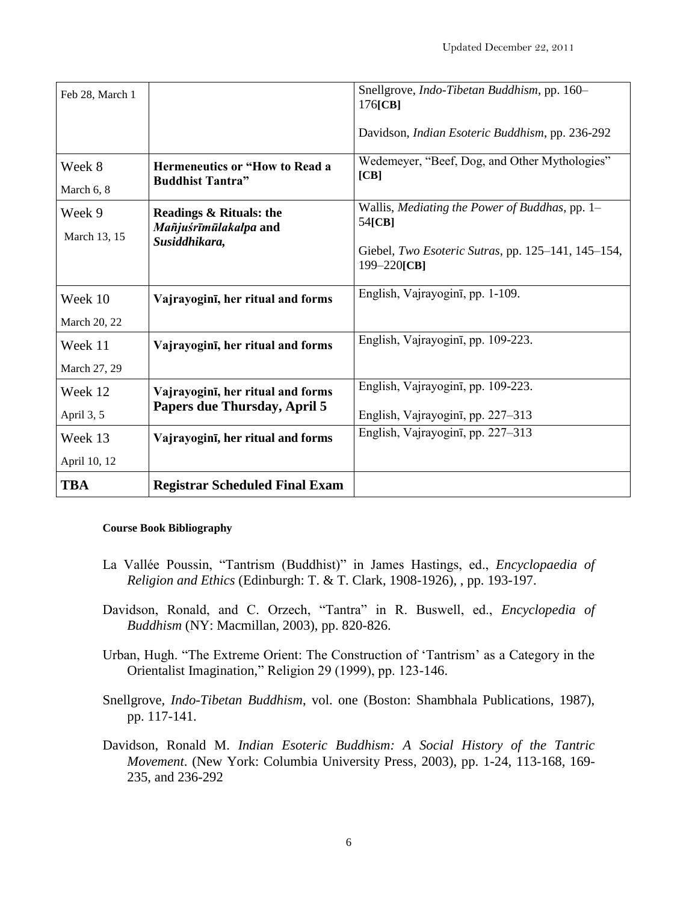| Feb 28, March 1 |                                                                  | Snellgrove, Indo-Tibetan Buddhism, pp. 160-<br>176[CB]                 |
|-----------------|------------------------------------------------------------------|------------------------------------------------------------------------|
|                 |                                                                  | Davidson, Indian Esoteric Buddhism, pp. 236-292                        |
| Week 8          | <b>Hermeneutics or "How to Read a</b><br><b>Buddhist Tantra"</b> | Wedemeyer, "Beef, Dog, and Other Mythologies"<br>[CB]                  |
| March 6, 8      |                                                                  |                                                                        |
| Week 9          | <b>Readings &amp; Rituals: the</b><br>Mañjuśrīmūlakalpa and      | Wallis, Mediating the Power of Buddhas, pp. 1-<br>54[CB]               |
| March 13, 15    | Susiddhikara,                                                    | Giebel, Two Esoteric Sutras, pp. 125-141, 145-154,<br>$199 - 220$ [CB] |
| Week 10         | Vajrayogini, her ritual and forms                                | English, Vajrayogini, pp. 1-109.                                       |
| March 20, 22    |                                                                  |                                                                        |
| Week 11         | Vajrayoginī, her ritual and forms                                | English, Vajrayogini, pp. 109-223.                                     |
| March 27, 29    |                                                                  |                                                                        |
| Week 12         | Vajrayogini, her ritual and forms                                | English, Vajrayoginī, pp. 109-223.                                     |
| April 3, 5      | Papers due Thursday, April 5                                     | English, Vajrayogini, pp. 227–313                                      |
| Week 13         | Vajrayogini, her ritual and forms                                | English, Vajrayogini, pp. 227–313                                      |
| April 10, 12    |                                                                  |                                                                        |
| <b>TBA</b>      | <b>Registrar Scheduled Final Exam</b>                            |                                                                        |

## **Course Book Bibliography**

- La Vallée Poussin, "Tantrism (Buddhist)" in James Hastings, ed., *Encyclopaedia of Religion and Ethics* (Edinburgh: T. & T. Clark, 1908-1926), , pp. 193-197.
- Davidson, Ronald, and C. Orzech, "Tantra" in R. Buswell, ed., *Encyclopedia of Buddhism* (NY: Macmillan, 2003), pp. 820-826.
- Urban, Hugh. "The Extreme Orient: The Construction of 'Tantrism' as a Category in the Orientalist Imagination," Religion 29 (1999), pp. 123-146.
- Snellgrove, *Indo-Tibetan Buddhism*, vol. one (Boston: Shambhala Publications, 1987), pp. 117-141.
- Davidson, Ronald M. *Indian Esoteric Buddhism: A Social History of the Tantric Movement*. (New York: Columbia University Press, 2003), pp. 1-24, 113-168, 169- 235, and 236-292